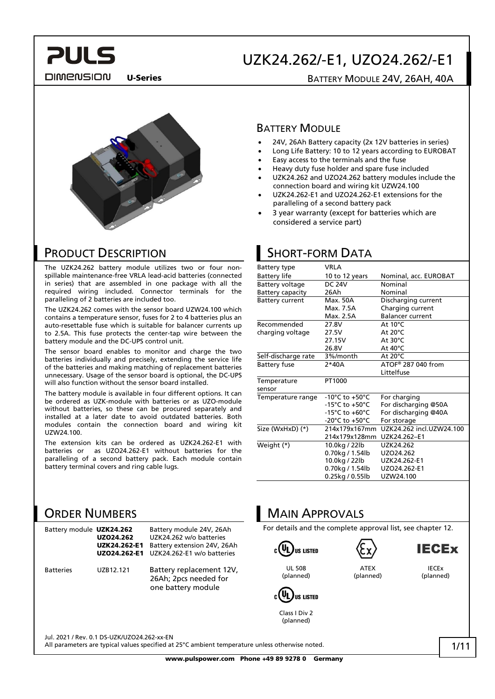**PULS DIMENSION** 

### UZK24.262/-E1, UZO24.262/-E1

U-Series BATTERY MODULE 24V, 26AH, 40A



### PRODUCT DESCRIPTION

The UZK24.262 battery module utilizes two or four nonspillable maintenance-free VRLA lead-acid batteries (connected in series) that are assembled in one package with all the required wiring included. Connector terminals for the paralleling of 2 batteries are included too.

The UZK24.262 comes with the sensor board UZW24.100 which contains a temperature sensor, fuses for 2 to 4 batteries plus an auto-resettable fuse which is suitable for balancer currents up to 2.5A. This fuse protects the center-tap wire between the battery module and the DC-UPS control unit.

The sensor board enables to monitor and charge the two batteries individually and precisely, extending the service life of the batteries and making matching of replacement batteries unnecessary. Usage of the sensor board is optional, the DC-UPS will also function without the sensor board installed.

The battery module is available in four different options. It can be ordered as UZK-module with batteries or as UZO-module without batteries, so these can be procured separately and installed at a later date to avoid outdated batteries. Both modules contain the connection board and wiring kit UZW24.100.

The extension kits can be ordered as UZK24.262-E1 with batteries or as UZO24.262-E1 without batteries for the paralleling of a second battery pack. Each module contain battery terminal covers and ring cable lugs.

### ORDER NUMBERS

| Battery module UZK24.262 | UZ024.262<br>UZK24.262-E1<br>UZ024.262-E1 | Battery module 24V, 26Ah<br>UZK24.262 w/o batteries<br>Battery extension 24V, 26Ah<br>UZK24.262-E1 w/o batteries |
|--------------------------|-------------------------------------------|------------------------------------------------------------------------------------------------------------------|
| <b>Batteries</b>         | UZR12.121                                 | Battery replacement 12V,<br>26Ah; 2pcs needed for<br>one battery module                                          |

### **BATTERY MODULE**

- 24V, 26Ah Battery capacity (2x 12V batteries in series)
- Long Life Battery: 10 to 12 years according to EUROBAT
- Easy access to the terminals and the fuse
- Heavy duty fuse holder and spare fuse included
- UZK24.262 and UZO24.262 battery modules include the connection board and wiring kit UZW24.100
- UZK24.262-E1 and UZO24.262-E1 extensions for the paralleling of a second battery pack
- 3 year warranty (except for batteries which are considered a service part)

### SHORT-FORM DATA

| Battery type            | <b>VRLA</b>                          |                          |
|-------------------------|--------------------------------------|--------------------------|
| <b>Battery life</b>     | 10 to 12 years                       | Nominal, acc. EUROBAT    |
| Battery voltage         | <b>DC 24V</b>                        | Nominal                  |
| <b>Battery capacity</b> | 26Ah                                 | Nominal                  |
| <b>Battery current</b>  | Max. 50A                             | Discharging current      |
|                         | Max. 7.5A                            | Charging current         |
|                         | Max. 2.5A                            | <b>Balancer current</b>  |
| Recommended             | 27.8V                                | At $10^{\circ}$ C        |
| charging voltage        | 27.5V                                | At $20^{\circ}$ C        |
|                         | 27.15V                               | At $30^{\circ}$ C        |
|                         | 26.8V                                | At $40^{\circ}$ C        |
| Self-discharge rate     | 3%/month                             | At $20^{\circ}$ C        |
| <b>Battery fuse</b>     | $2*40A$                              | ATOF® 287 040 from       |
|                         |                                      | Littelfuse               |
| Temperature             | PT1000                               |                          |
| sensor                  |                                      |                          |
| Temperature range       | -10 $^{\circ}$ C to +50 $^{\circ}$ C | For charging             |
|                         | $-15^{\circ}$ C to $+50^{\circ}$ C   | For discharging @50A     |
|                         | $-15^{\circ}$ C to $+60^{\circ}$ C   | For discharging @40A     |
|                         | -20°C to +50°C                       | For storage              |
| Size (WxHxD) (*)        | 214x179x167mm                        | UZK24.262 incl.UZW24.100 |
|                         | 214x179x128mm                        | UZK24.262-E1             |
| Weight (*)              | 10.0kg / 22lb                        | UZK24.262                |
|                         | 0.70kg / 1.54lb                      | UZO24.262                |
|                         | 10.0kg / 22lb                        | UZK24.262-E1             |
|                         | 0.70kg / 1.54lb                      | UZO24.262-E1             |
|                         | 0.25kg / 0.55lb                      | UZW24.100                |

### MAIN APPROVALS

For details and the complete approval list, see chapter [12.](#page-7-0)





(planned)

**IECEx** IECEx

(planned)

UL 508 (planned)



Class I Div 2 (planned)

Jul. 2021 / Rev. 0.1 DS-UZK/UZO24.262-xx-EN

All parameters are typical values specified at 25°C ambient temperature unless otherwise noted.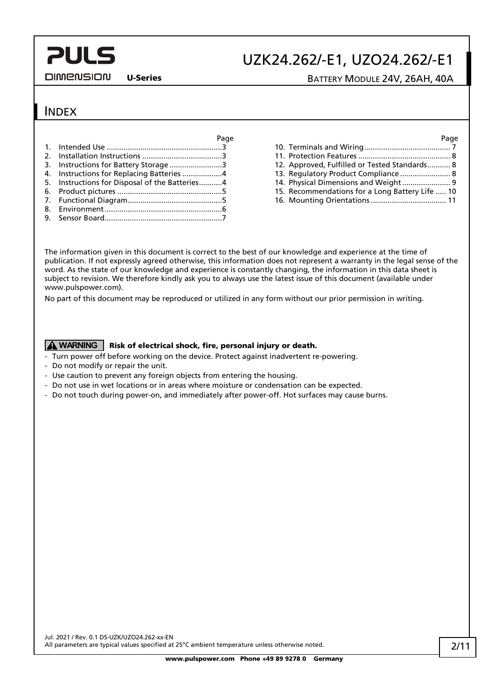#### **DIMENSION**

### UZK24.262/-E1, UZO24.262/-E1

U-Series BATTERY MODULE 24V, 26AH, 40A

### INDEX

| 3. Instructions for Battery Storage 3          |  |
|------------------------------------------------|--|
| 4. Instructions for Replacing Batteries 4      |  |
| 5. Instructions for Disposal of the Batteries4 |  |
|                                                |  |
|                                                |  |
|                                                |  |
|                                                |  |

| Page  |                                                 | Page |
|-------|-------------------------------------------------|------|
| . . 3 |                                                 |      |
| . 3   |                                                 |      |
| . 3   | 12. Approved, Fulfilled or Tested Standards 8   |      |
| . 4   |                                                 |      |
| . 4   | 14. Physical Dimensions and Weight 9            |      |
| . 5   | 15. Recommendations for a Long Battery Life  10 |      |
|       | 16 Mounting Orientations                        |      |

16. [Mounting Orientations....................................](#page-10-0) 11

The information given in this document is correct to the best of our knowledge and experience at the time of publication. If not expressly agreed otherwise, this information does not represent a warranty in the legal sense of the word. As the state of our knowledge and experience is constantly changing, the information in this data sheet is subject to revision. We therefore kindly ask you to always use the latest issue of this document (available under www.pulspower.com).

No part of this document may be reproduced or utilized in any form without our prior permission in writing.

#### **A** WARNING | Risk of electrical shock, fire, personal injury or death.

- Turn power off before working on the device. Protect against inadvertent re-powering.
- Do not modify or repair the unit.
- Use caution to prevent any foreign objects from entering the housing.
- Do not use in wet locations or in areas where moisture or condensation can be expected.
- Do not touch during power-on, and immediately after power-off. Hot surfaces may cause burns.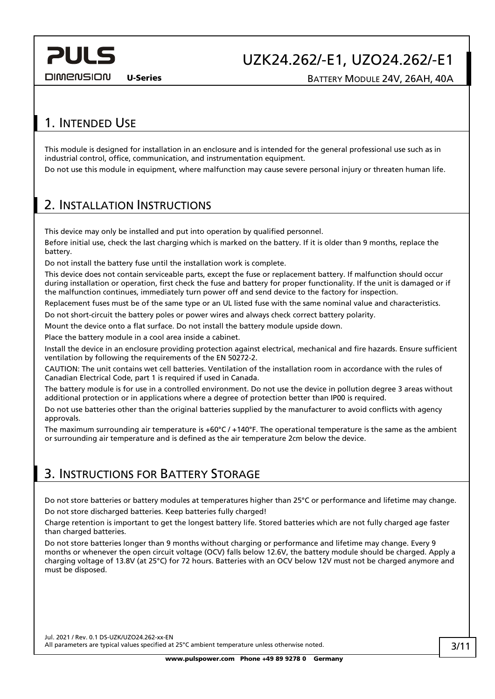**DIMENSION** 

UZK24.262/-E1, UZO24.262/-E1

U-Series BATTERY MODULE 24V, 26AH, 40A

### <span id="page-2-0"></span>1. INTENDED USE

This module is designed for installation in an enclosure and is intended for the general professional use such as in industrial control, office, communication, and instrumentation equipment.

Do not use this module in equipment, where malfunction may cause severe personal injury or threaten human life.

### <span id="page-2-1"></span>2. INSTALLATION INSTRUCTIONS

This device may only be installed and put into operation by qualified personnel.

Before initial use, check the last charging which is marked on the battery. If it is older than 9 months, replace the battery.

Do not install the battery fuse until the installation work is complete.

This device does not contain serviceable parts, except the fuse or replacement battery. If malfunction should occur during installation or operation, first check the fuse and battery for proper functionality. If the unit is damaged or if the malfunction continues, immediately turn power off and send device to the factory for inspection.

Replacement fuses must be of the same type or an UL listed fuse with the same nominal value and characteristics.

Do not short-circuit the battery poles or power wires and always check correct battery polarity.

Mount the device onto a flat surface. Do not install the battery module upside down.

Place the battery module in a cool area inside a cabinet.

Install the device in an enclosure providing protection against electrical, mechanical and fire hazards. Ensure sufficient ventilation by following the requirements of the EN 50272-2.

CAUTION: The unit contains wet cell batteries. Ventilation of the installation room in accordance with the rules of Canadian Electrical Code, part 1 is required if used in Canada.

The battery module is for use in a controlled environment. Do not use the device in pollution degree 3 areas without additional protection or in applications where a degree of protection better than IP00 is required.

Do not use batteries other than the original batteries supplied by the manufacturer to avoid conflicts with agency approvals.

The maximum surrounding air temperature is  $+60^{\circ}C/+140^{\circ}F$ . The operational temperature is the same as the ambient or surrounding air temperature and is defined as the air temperature 2cm below the device.

### <span id="page-2-2"></span>3. INSTRUCTIONS FOR BATTERY STORAGE

Do not store batteries or battery modules at temperatures higher than 25°C or performance and lifetime may change. Do not store discharged batteries. Keep batteries fully charged!

Charge retention is important to get the longest battery life. Stored batteries which are not fully charged age faster than charged batteries.

Do not store batteries longer than 9 months without charging or performance and lifetime may change. Every 9 months or whenever the open circuit voltage (OCV) falls below 12.6V, the battery module should be charged. Apply a charging voltage of 13.8V (at 25°C) for 72 hours. Batteries with an OCV below 12V must not be charged anymore and must be disposed.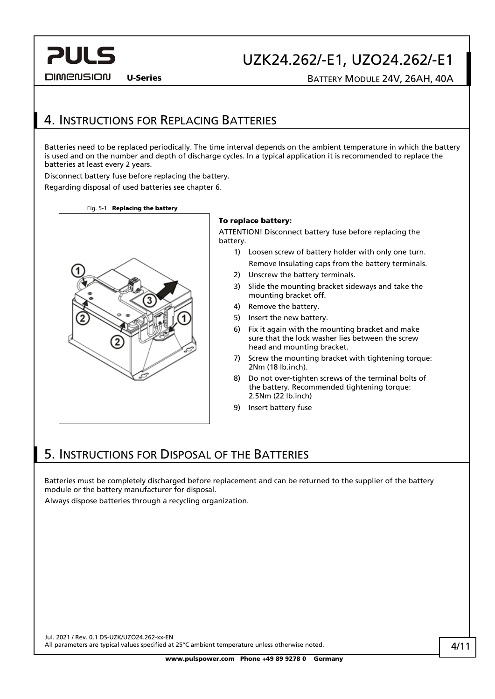#### **DIMENSION**

## UZK24.262/-E1, UZO24.262/-E1

U-Series BATTERY MODULE 24V, 26AH, 40A

### <span id="page-3-0"></span>4. INSTRUCTIONS FOR REPLACING BATTERIES

Batteries need to be replaced periodically. The time interval depends on the ambient temperature in which the battery is used and on the number and depth of discharge cycles. In a typical application it is recommended to replace the batteries at least every 2 years.

Disconnect battery fuse before replacing the battery.

Regarding disposal of used batteries see chapter [6.](#page-3-1)

Fig. 5-1 Replacing the battery



#### To replace battery:

ATTENTION! Disconnect battery fuse before replacing the battery.

- 1) Loosen screw of battery holder with only one turn. Remove Insulating caps from the battery terminals.
- 2) Unscrew the battery terminals.
- 3) Slide the mounting bracket sideways and take the mounting bracket off.
- 4) Remove the battery.
- 5) Insert the new battery.
- 6) Fix it again with the mounting bracket and make sure that the lock washer lies between the screw head and mounting bracket.
- 7) Screw the mounting bracket with tightening torque: 2Nm (18 lb.inch).
- 8) Do not over-tighten screws of the terminal bolts of the battery. Recommended tightening torque: 2.5Nm (22 lb.inch)
- 9) Insert battery fuse

### <span id="page-3-1"></span>5. INSTRUCTIONS FOR DISPOSAL OF THE BATTERIES

Batteries must be completely discharged before replacement and can be returned to the supplier of the battery module or the battery manufacturer for disposal.

Always dispose batteries through a recycling organization.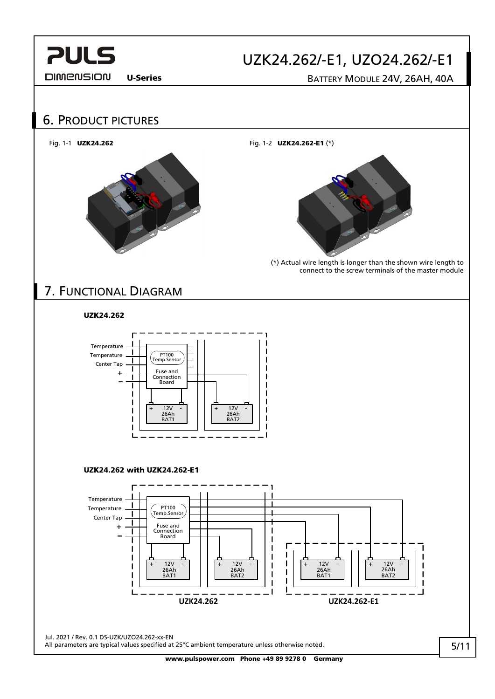

#### **DIMENSION**

### UZK24.262/-E1, UZO24.262/-E1

U-Series BATTERY MODULE 24V, 26AH, 40A

<span id="page-4-1"></span><span id="page-4-0"></span>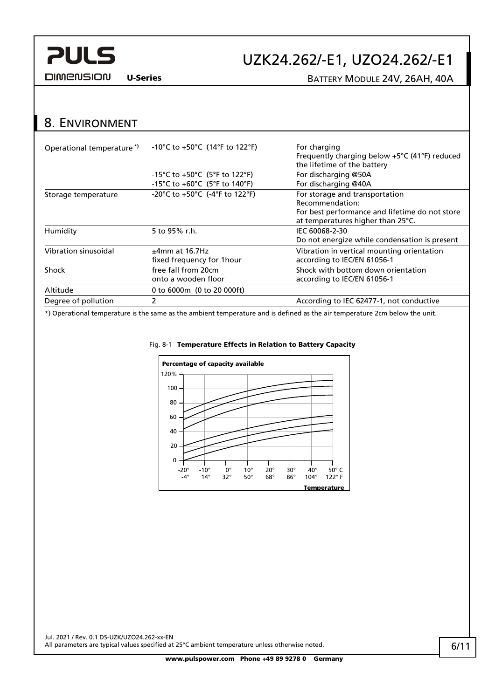

### UZK24.262/-E1, UZO24.262/-E1

**DIMENSION** 

U-Series BATTERY MODULE 24V, 26AH, 40A

### <span id="page-5-0"></span>8. ENVIRONMENT

| Operational temperature <sup>*</sup> | -10°C to +50°C (14°F to 122°F)    | For charging<br>Frequently charging below $+5^{\circ}$ C (41°F) reduced<br>the lifetime of the battery |
|--------------------------------------|-----------------------------------|--------------------------------------------------------------------------------------------------------|
|                                      | -15°C to +50°C (5°F to 122°F)     | For discharging @50A                                                                                   |
|                                      | -15°C to +60°C (5°F to 140°F)     | For discharging @40A                                                                                   |
| Storage temperature                  | -20°C to $+50$ °C (-4°F to 122°F) | For storage and transportation                                                                         |
|                                      |                                   | Recommendation:                                                                                        |
|                                      |                                   | For best performance and lifetime do not store                                                         |
|                                      |                                   | at temperatures higher than 25°C.                                                                      |
| Humidity                             | 5 to 95% r.h.                     | IEC 60068-2-30                                                                                         |
|                                      |                                   | Do not energize while condensation is present                                                          |
| Vibration sinusoidal                 | $±4mm$ at 16.7Hz                  | Vibration in vertical mounting orientation                                                             |
|                                      | fixed frequency for 1 hour        | according to IEC/EN 61056-1                                                                            |
| Shock                                | free fall from 20cm               | Shock with bottom down orientation                                                                     |
|                                      | onto a wooden floor               | according to IEC/EN 61056-1                                                                            |
| Altitude                             | 0 to 6000m (0 to 20 000ft)        |                                                                                                        |
| Degree of pollution                  |                                   | According to IEC 62477-1, not conductive                                                               |
|                                      |                                   |                                                                                                        |

\*) Operational temperature is the same as the ambient temperature and is defined as the air temperature 2cm below the unit.



#### Fig[. 8-](#page-5-0)1 Temperature Effects in Relation to Battery Capacity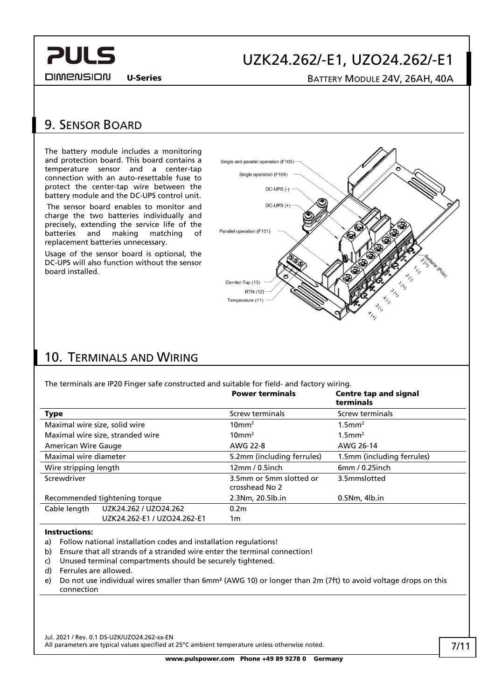**DIMENSION** 

### UZK24.262/-E1, UZO24.262/-E1

U-Series BATTERY MODULE 24V, 26AH, 40A

### <span id="page-6-0"></span>9. SENSOR BOARD

**PULS** 

The battery module includes a monitoring and protection board. This board contains a temperature sensor and a center-tap connection with an auto-resettable fuse to protect the center-tap wire between the battery module and the DC-UPS control unit.

The sensor board enables to monitor and charge the two batteries individually and precisely, extending the service life of the batteries and making matching of replacement batteries unnecessary.

Usage of the sensor board is optional, the DC-UPS will also function without the sensor board installed.



### <span id="page-6-1"></span>10. TERMINALS AND WIRING

The terminals are IP20 Finger safe constructed and suitable for field- and factory wiring.

|                                  |                             | <b>Power terminals</b>                    | <b>Centre tap and signal</b><br>terminals |
|----------------------------------|-----------------------------|-------------------------------------------|-------------------------------------------|
| <b>Type</b>                      |                             | Screw terminals                           | Screw terminals                           |
| Maximal wire size, solid wire    |                             | $10 \text{mm}^2$                          | $1.5$ mm <sup>2</sup>                     |
| Maximal wire size, stranded wire |                             | $10 \text{mm}^2$                          | $1.5$ mm <sup>2</sup>                     |
| American Wire Gauge              |                             | AWG 22-8                                  | AWG 26-14                                 |
| Maximal wire diameter            |                             | 5.2mm (including ferrules)                | 1.5mm (including ferrules)                |
| Wire stripping length            |                             | 12mm/0.5inch                              | 6mm/0.25inch                              |
| Screwdriver                      |                             | 3.5mm or 5mm slotted or<br>crosshead No 2 | 3.5mmslotted                              |
| Recommended tightening torque    |                             | 2.3Nm, 20.5lb.in                          | $0.5Nm$ , 4lb.in                          |
| Cable length                     | UZK24.262 / UZO24.262       | 0.2 <sub>m</sub>                          |                                           |
|                                  | UZK24.262-E1 / UZO24.262-E1 | 1m                                        |                                           |

#### Instructions:

- a) Follow national installation codes and installation regulations!
- b) Ensure that all strands of a stranded wire enter the terminal connection!
- c) Unused terminal compartments should be securely tightened.
- d) Ferrules are allowed.
- e) Do not use individual wires smaller than 6mm² (AWG 10) or longer than 2m (7ft) to avoid voltage drops on this connection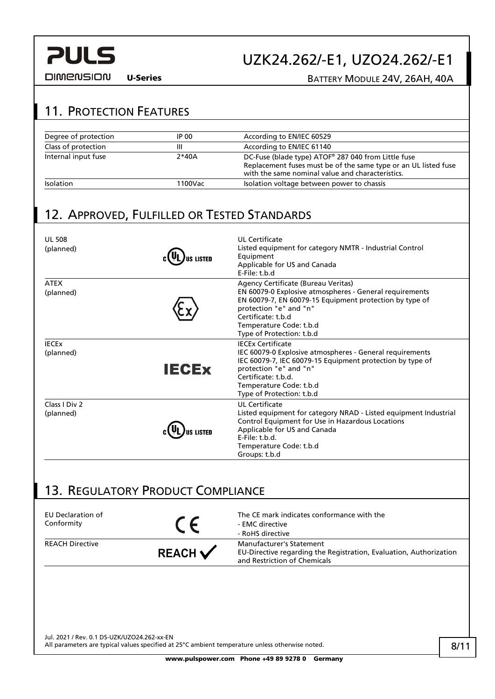**DIMENSION** 

## UZK24.262/-E1, UZO24.262/-E1

U-Series BATTERY MODULE 24V, 26AH, 40A

### <span id="page-7-1"></span>11. PROTECTION FEATURES

| Degree of protection | IP 00   | According to EN/IEC 60529                                                                                                                                                  |
|----------------------|---------|----------------------------------------------------------------------------------------------------------------------------------------------------------------------------|
| Class of protection  | Ш       | According to EN/IEC 61140                                                                                                                                                  |
| Internal input fuse  | $2*40A$ | DC-Fuse (blade type) ATOF® 287 040 from Little fuse<br>Replacement fuses must be of the same type or an UL listed fuse<br>with the same nominal value and characteristics. |
| Isolation            | 1100Vac | Isolation voltage between power to chassis                                                                                                                                 |

### <span id="page-7-0"></span>12. APPROVED, FULFILLED OR TESTED STANDARDS

| <b>UL 508</b><br>(planned) |              | UL Certificate<br>Listed equipment for category NMTR - Industrial Control<br>Equipment<br>Applicable for US and Canada<br>E-File: t.b.d                                                                                                                           |
|----------------------------|--------------|-------------------------------------------------------------------------------------------------------------------------------------------------------------------------------------------------------------------------------------------------------------------|
| <b>ATEX</b><br>(planned)   |              | Agency Certificate (Bureau Veritas)<br>EN 60079-0 Explosive atmospheres - General requirements<br>EN 60079-7, EN 60079-15 Equipment protection by type of<br>protection "e" and "n"<br>Certificate: t.b.d<br>Temperature Code: t.b.d<br>Type of Protection: t.b.d |
| <b>IFCFx</b><br>(planned)  | <b>IECEX</b> | <b>IFCEx Certificate</b><br>IEC 60079-0 Explosive atmospheres - General requirements<br>IEC 60079-7, IEC 60079-15 Equipment protection by type of<br>protection "e" and "n"<br>Certificate: t.b.d.<br>Temperature Code: t.b.d<br>Type of Protection: t.b.d        |
| Class I Div 2<br>(planned) |              | UL Certificate<br>Listed equipment for category NRAD - Listed equipment Industrial<br>Control Equipment for Use in Hazardous Locations<br>Applicable for US and Canada<br>$F$ -File: $t$ , $b$ , $d$ .<br>Temperature Code: t.b.d<br>Groups: t.b.d                |

### <span id="page-7-2"></span>13. REGULATORY PRODUCT COMPLIANCE

| EU Declaration of<br>Conformity |                    | The CE mark indicates conformance with the<br>- EMC directive<br>- RoHS directive                                              |
|---------------------------------|--------------------|--------------------------------------------------------------------------------------------------------------------------------|
| <b>REACH Directive</b>          | REACH $\checkmark$ | Manufacturer's Statement<br>EU-Directive regarding the Registration, Evaluation, Authorization<br>and Restriction of Chemicals |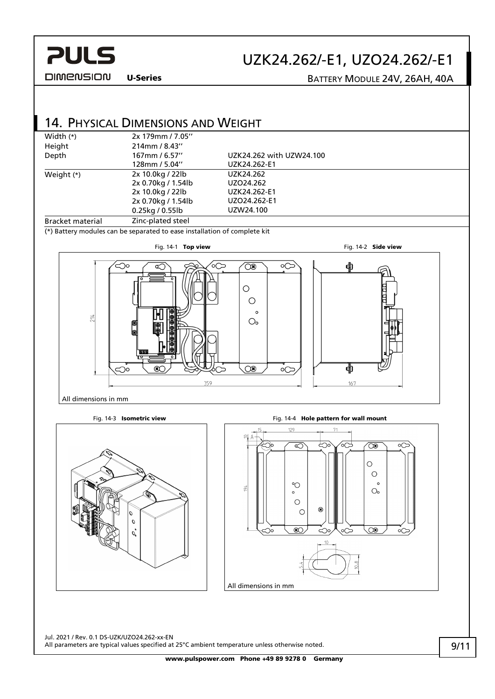

### UZK24.262/-E1, UZO24.262/-E1

U-Series BATTERY MODULE 24V, 26AH, 40A

<span id="page-8-0"></span>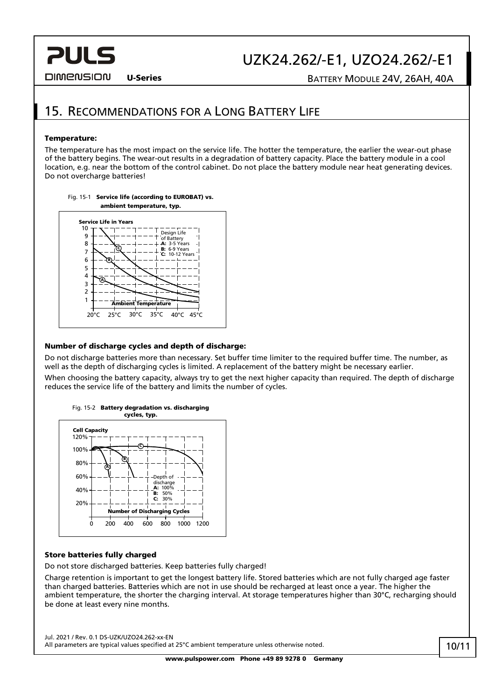### UZK24.262/-E1, UZO24.262/-E1

**DIMENSION** 

#### U-Series BATTERY MODULE 24V, 26AH, 40A

### <span id="page-9-0"></span>15. RECOMMENDATIONS FOR A LONG BATTERY LIFE

#### Temperature:

The temperature has the most impact on the service life. The hotter the temperature, the earlier the wear-out phase of the battery begins. The wear-out results in a degradation of battery capacity. Place the battery module in a cool location, e.g. near the bottom of the control cabinet. Do not place the battery module near heat generating devices. Do not overcharge batteries!



Fig. 15-1 Service life (according to EUROBAT) vs.

#### Number of discharge cycles and depth of discharge:

Do not discharge batteries more than necessary. Set buffer time limiter to the required buffer time. The number, as well as the depth of discharging cycles is limited. A replacement of the battery might be necessary earlier. When choosing the battery capacity, always try to get the next higher capacity than required. The depth of discharge reduces the service life of the battery and limits the number of cycles.



#### Store batteries fully charged

Do not store discharged batteries. Keep batteries fully charged!

Charge retention is important to get the longest battery life. Stored batteries which are not fully charged age faster than charged batteries. Batteries which are not in use should be recharged at least once a year. The higher the ambient temperature, the shorter the charging interval. At storage temperatures higher than 30°C, recharging should be done at least every nine months.